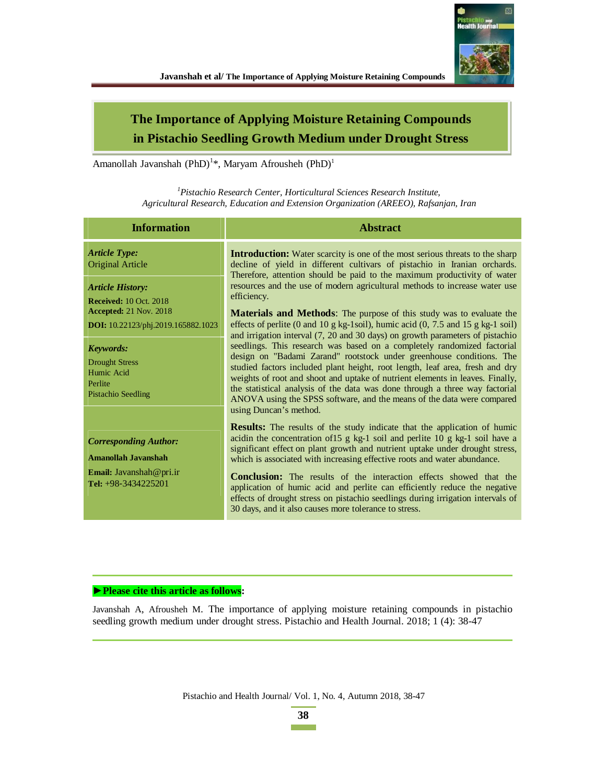

# **The Importance of Applying Moisture Retaining Compounds in Pistachio Seedling Growth Medium under Drought Stress**

Amanollah Javanshah (PhD)<sup>1</sup>\*, Maryam Afrousheh (PhD)<sup>1</sup>

*<sup>1</sup>Pistachio Research Center, Horticultural Sciences Research Institute, Agricultural Research, Education and Extension Organization (AREEO), Rafsanjan, Iran* 

| <b>Information</b>                                                                              | <b>Abstract</b>                                                                                                                                                                                                                                                                                                                                                                                                                                                                                     |
|-------------------------------------------------------------------------------------------------|-----------------------------------------------------------------------------------------------------------------------------------------------------------------------------------------------------------------------------------------------------------------------------------------------------------------------------------------------------------------------------------------------------------------------------------------------------------------------------------------------------|
| <b>Article Type:</b><br><b>Original Article</b>                                                 | <b>Introduction:</b> Water scarcity is one of the most serious threats to the sharp<br>decline of yield in different cultivars of pistachio in Iranian orchards.<br>Therefore, attention should be paid to the maximum productivity of water                                                                                                                                                                                                                                                        |
| <b>Article History:</b><br><b>Received: 10 Oct. 2018</b>                                        | resources and the use of modern agricultural methods to increase water use<br>efficiency.                                                                                                                                                                                                                                                                                                                                                                                                           |
| <b>Accepted:</b> 21 Nov. 2018<br><b>DOI:</b> 10.22123/phj.2019.165882.1023                      | <b>Materials and Methods:</b> The purpose of this study was to evaluate the<br>effects of perlite (0 and 10 g kg-1soil), humic acid (0, 7.5 and 15 g kg-1 soil)<br>and irrigation interval (7, 20 and 30 days) on growth parameters of pistachio                                                                                                                                                                                                                                                    |
| <b>Keywords:</b><br><b>Drought Stress</b><br>Humic Acid<br>Perlite<br><b>Pistachio Seedling</b> | seedlings. This research was based on a completely randomized factorial<br>design on "Badami Zarand" rootstock under greenhouse conditions. The<br>studied factors included plant height, root length, leaf area, fresh and dry<br>weights of root and shoot and uptake of nutrient elements in leaves. Finally,<br>the statistical analysis of the data was done through a three way factorial<br>ANOVA using the SPSS software, and the means of the data were compared<br>using Duncan's method. |
| <b>Corresponding Author:</b><br>Amanollah Javanshah                                             | <b>Results:</b> The results of the study indicate that the application of humic<br>acidin the concentration of 15 g kg-1 soil and perlite 10 g kg-1 soil have a<br>significant effect on plant growth and nutrient uptake under drought stress,<br>which is associated with increasing effective roots and water abundance.                                                                                                                                                                         |
| <b>Email:</b> Javanshah@pri.ir<br>Tel: $+98-3434225201$                                         | <b>Conclusion:</b> The results of the interaction effects showed that the<br>application of humic acid and perlite can efficiently reduce the negative<br>effects of drought stress on pistachio seedlings during irrigation intervals of<br>30 days, and it also causes more tolerance to stress.                                                                                                                                                                                                  |

### **▶ Please cite this article as follows:**

Javanshah A, Afrousheh M. The importance of applying moisture retaining compounds in pistachio seedling growth medium under drought stress. Pistachio and Health Journal. 2018; 1 (4): 38-47

Pistachio and Health Journal/ Vol. 1, No. 4, Autumn 2018, 38-47

**38 Contract Contract**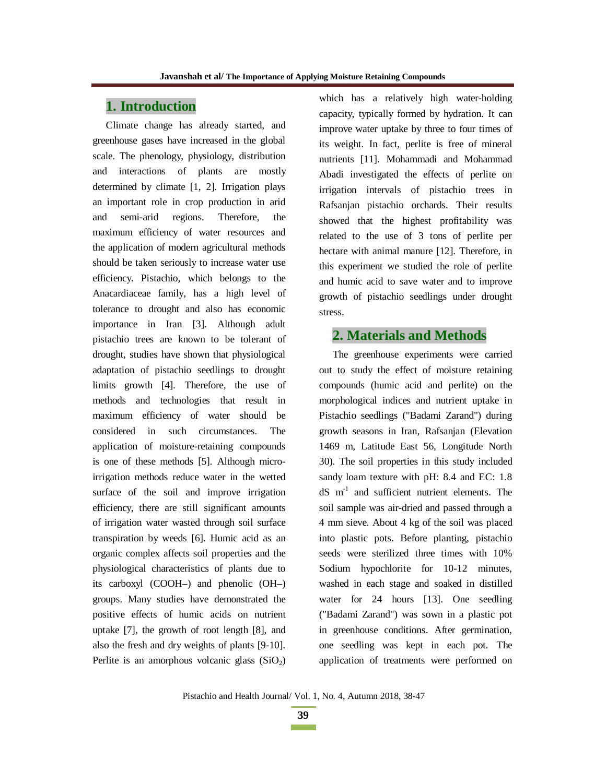# **1. Introduction**

Climate change has already started, and greenhouse gases have increased in the global scale. The phenology, physiology, distribution and interactions of plants are mostly determined by climate [1, 2]. Irrigation plays an important role in crop production in arid and semi-arid regions. Therefore, the maximum efficiency of water resources and the application of modern agricultural methods should be taken seriously to increase water use efficiency. Pistachio, which belongs to the Anacardiaceae family, has a high level of tolerance to drought and also has economic importance in Iran [3]. Although adult pistachio trees are known to be tolerant of drought, studies have shown that physiological adaptation of pistachio seedlings to drought limits growth [4]. Therefore, the use of methods and technologies that result in maximum efficiency of water should be considered in such circumstances. The application of moisture-retaining compounds is one of these methods [5]. Although microirrigation methods reduce water in the wetted surface of the soil and improve irrigation efficiency, there are still significant amounts of irrigation water wasted through soil surface transpiration by weeds [6]. Humic acid as an organic complex affects soil properties and the physiological characteristics of plants due to its carboxyl (COOH–) and phenolic (OH–) groups. Many studies have demonstrated the positive effects of humic acids on nutrient uptake [7], the growth of root length [8], and also the fresh and dry weights of plants [9-10]. Perlite is an amorphous volcanic glass  $(SiO<sub>2</sub>)$ 

which has a relatively high water-holding capacity, typically formed by hydration. It can improve water uptake by three to four times of its weight. In fact, perlite is free of mineral nutrients [11]. Mohammadi and Mohammad Abadi investigated the effects of perlite on irrigation intervals of pistachio trees in Rafsanjan pistachio orchards. Their results showed that the highest profitability was related to the use of 3 tons of perlite per hectare with animal manure [12]. Therefore, in this experiment we studied the role of perlite and humic acid to save water and to improve growth of pistachio seedlings under drought stress.

#### **2. Materials and Methods**

The greenhouse experiments were carried out to study the effect of moisture retaining compounds (humic acid and perlite) on the morphological indices and nutrient uptake in Pistachio seedlings ("Badami Zarand") during growth seasons in Iran, Rafsanjan (Elevation 1469 m, Latitude East 56, Longitude North 30). The soil properties in this study included sandy loam texture with pH: 8.4 and EC: 1.8  $dS$  m<sup>-1</sup> and sufficient nutrient elements. The soil sample was air-dried and passed through a 4 mm sieve. About 4 kg of the soil was placed into plastic pots. Before planting, pistachio seeds were sterilized three times with 10% Sodium hypochlorite for 10-12 minutes, washed in each stage and soaked in distilled water for 24 hours [13]. One seedling ("Badami Zarand") was sown in a plastic pot in greenhouse conditions. After germination, one seedling was kept in each pot. The application of treatments were performed on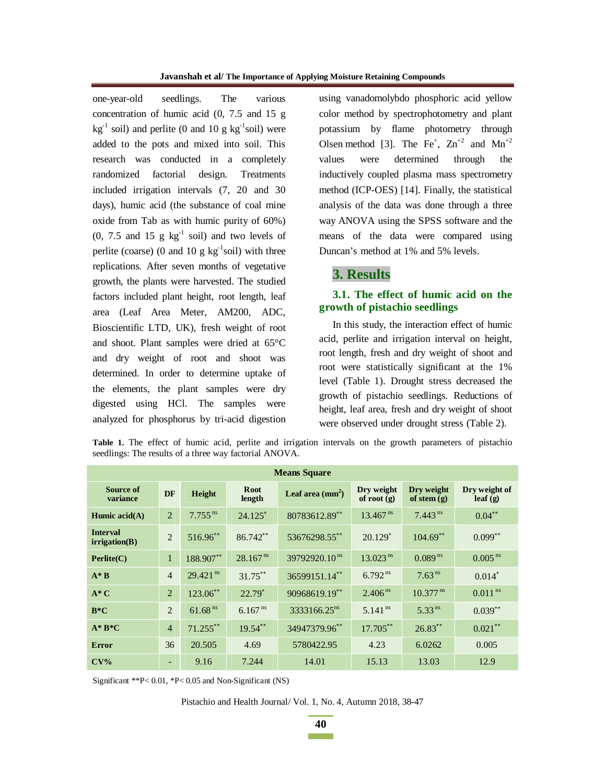one-year-old seedlings. The various concentration of humic acid (0, 7.5 and 15 g  $kg^{-1}$  soil) and perlite (0 and 10 g kg<sup>-1</sup>soil) were added to the pots and mixed into soil. This research was conducted in a completely randomized factorial design. Treatments included irrigation intervals (7, 20 and 30 days), humic acid (the substance of coal mine oxide from Tab as with humic purity of 60%)  $(0, 7.5 \text{ and } 15 \text{ g kg}^{-1} \text{ soil})$  and two levels of perlite (coarse) (0 and 10 g  $kg^{-1}$ soil) with three replications. After seven months of vegetative growth, the plants were harvested. The studied factors included plant height, root length, leaf area (Leaf Area Meter, AM200, ADC, Bioscientific LTD, UK), fresh weight of root and shoot. Plant samples were dried at 65°C and dry weight of root and shoot was determined. In order to determine uptake of the elements, the plant samples were dry digested using HCl. The samples were analyzed for phosphorus by tri-acid digestion using vanadomolybdo phosphoric acid yellow color method by spectrophotometry and plant potassium by flame photometry through Olsen method [3]. The Fe<sup>+</sup>,  $\text{Zn}^{+2}$  and  $\text{Mn}^{+2}$ values were determined through the inductively coupled plasma mass spectrometry method (ICP-OES) [14]. Finally, the statistical analysis of the data was done through a three way ANOVA using the SPSS software and the means of the data were compared using Duncan's method at 1% and 5% levels.

# **3. Results**

# **3.1. The effect of humic acid on the growth of pistachio seedlings**

In this study, the interaction effect of humic acid, perlite and irrigation interval on height, root length, fresh and dry weight of shoot and root were statistically significant at the 1% level (Table 1). Drought stress decreased the growth of pistachio seedlings. Reductions of height, leaf area, fresh and dry weight of shoot were observed under drought stress (Table 2).

| <b>Means Square</b>              |                |                        |                       |                           |                             |                             |                          |  |  |
|----------------------------------|----------------|------------------------|-----------------------|---------------------------|-----------------------------|-----------------------------|--------------------------|--|--|
|                                  |                |                        |                       |                           |                             |                             |                          |  |  |
| Source of<br>variance            | DF             | Height                 | <b>Root</b><br>length | Leaf area $\text{(mm}^2)$ | Dry weight<br>of root $(g)$ | Dry weight<br>of stem $(g)$ | Dry weight of<br>leaf(g) |  |  |
| Humic $acid(A)$                  | $\overline{2}$ | $7.755$ <sup>ns</sup>  | $24.125*$             | 80783612.89**             | $13.467$ <sup>ns</sup>      | $7.443$ <sup>ns</sup>       | $0.04***$                |  |  |
| <b>Interval</b><br>irrigation(B) | $\overline{2}$ | 516.96**               | 86.742**              | 53676298.55**             | $20.129*$                   | $104.69$ **                 | $0.099**$                |  |  |
| Perlite(C)                       | $\mathbf{1}$   | 188.907**              | 28.167 <sup>ns</sup>  | 39792920.10 <sup>ns</sup> | $13.023$ <sup>ns</sup>      | $0.089$ <sup>ns</sup>       | $0.005$ <sup>ns</sup>    |  |  |
| $A^*B$                           | $\overline{4}$ | $29.421$ <sup>ns</sup> | $31.75***$            | 36599151.14**             | $6.792^{ns}$                | 7.63 <sup>ns</sup>          | $0.014^*$                |  |  |
| $A^*C$                           | $\overline{2}$ | 123.06**               | $22.79*$              | 90968619.19**             | 2.406 <sup>ns</sup>         | $10.377$ <sup>ns</sup>      | $0.011$ <sup>ns</sup>    |  |  |
| $B*C$                            | $\overline{2}$ | $61.68$ <sup>ns</sup>  | $6.167^{ns}$          | 3333166.25 <sup>ns</sup>  | $5.141$ <sup>ns</sup>       | $5.33$ <sup>ns</sup>        | $0.039**$                |  |  |
| $A^*B^*C$                        | $\overline{4}$ | $71.255***$            | $19.54***$            | 34947379.96**             | 17.705**                    | $26.83***$                  | $0.021***$               |  |  |
| Error                            | 36             | 20.505                 | 4.69                  | 5780422.95                | 4.23                        | 6.0262                      | 0.005                    |  |  |
| $CV\%$                           | ٠              | 9.16                   | 7.244                 | 14.01                     | 15.13                       | 13.03                       | 12.9                     |  |  |

**Table 1.** The effect of humic acid, perlite and irrigation intervals on the growth parameters of pistachio seedlings: The results of a three way factorial ANOVA.

Significant \*\*P< 0.01, \*P< 0.05 and Non-Significant (NS)

Pistachio and Health Journal/ Vol. 1, No. 4, Autumn 2018, 38-47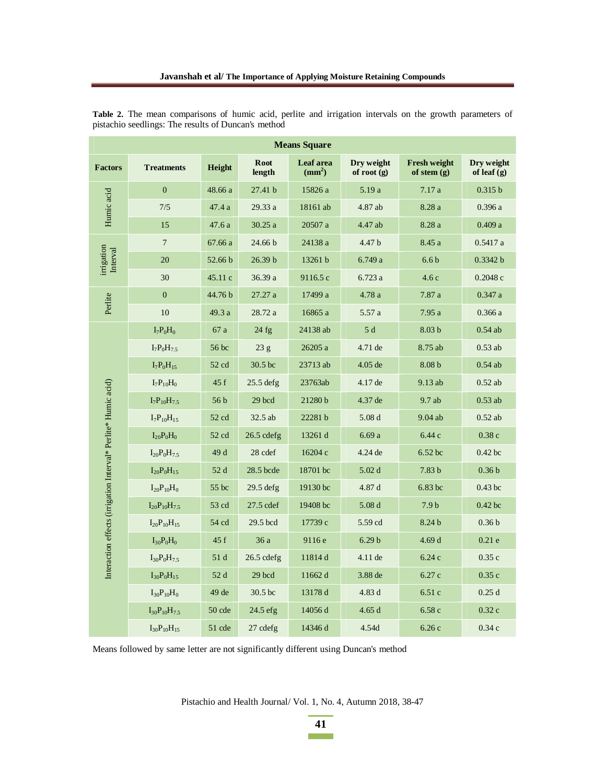| <b>Means Square</b>                                            |                       |                 |                       |                              |                             |                                      |                             |  |
|----------------------------------------------------------------|-----------------------|-----------------|-----------------------|------------------------------|-----------------------------|--------------------------------------|-----------------------------|--|
| <b>Factors</b>                                                 | <b>Treatments</b>     | Height          | <b>Root</b><br>length | Leaf area<br>$\text{(mm}^2)$ | Dry weight<br>of root $(g)$ | <b>Fresh weight</b><br>of stem $(g)$ | Dry weight<br>of leaf $(g)$ |  |
|                                                                | $\overline{0}$        | 48.66 a         | 27.41 b               | 15826 a                      | 5.19a                       | 7.17a                                | 0.315 b                     |  |
| Humic acid                                                     | 7/5                   | 47.4 a          | 29.33 a               | 18161 ab                     | 4.87 ab                     | 8.28 a                               | 0.396a                      |  |
|                                                                | 15                    | 47.6 a          | 30.25 a               | 20507 a                      | 4.47 ab                     | 8.28 a                               | 0.409a                      |  |
|                                                                | $\overline{7}$        | 67.66 a         | 24.66 b               | 24138 a                      | 4.47 b                      | 8.45 a                               | 0.5417a                     |  |
| irrigation<br>Interval                                         | 20                    | 52.66 b         | 26.39 b               | 13261 b                      | 6.749 a                     | 6.6 <sub>b</sub>                     | 0.3342 b                    |  |
|                                                                | 30                    | 45.11 c         | 36.39 a               | 9116.5 c                     | 6.723a                      | 4.6c                                 | 0.2048c                     |  |
| Perlite                                                        | $\overline{0}$        | 44.76 b         | 27.27 a               | 17499 a                      | 4.78 a                      | 7.87 a                               | 0.347a                      |  |
|                                                                | 10                    | 49.3 a          | 28.72 a               | 16865 a                      | 5.57 a                      | 7.95a                                | 0.366a                      |  |
|                                                                | $I_7P_0H_0$           | 67 a            | 24 fg                 | 24138 ab                     | 5d                          | 8.03 <sub>b</sub>                    | $0.54$ ab                   |  |
|                                                                | $I_7P_0H_{7.5}$       | 56 bc           | 23 g                  | 26205 a                      | 4.71 de                     | 8.75 ab                              | $0.53$ ab                   |  |
|                                                                | $I_7P_0H_{15}$        | 52 cd           | 30.5 bc               | 23713 ab                     | 4.05 de                     | 8.08 <sub>b</sub>                    | $0.54$ ab                   |  |
|                                                                | $I_7P_{10}H_0$        | 45f             | $25.5$ defg           | 23763ab                      | 4.17 de                     | 9.13 ab                              | $0.52$ ab                   |  |
|                                                                | $I_7P_{10}H_{7.5}$    | 56 <sub>b</sub> | 29 bcd                | 21280 b                      | 4.37 de                     | 9.7 ab                               | $0.53$ ab                   |  |
|                                                                | $I_7P_{10}H_{15}$     | 52 cd           | 32.5 ab               | 22281 b                      | 5.08 <sub>d</sub>           | 9.04 ab                              | $0.52$ ab                   |  |
| Interaction effects (irrigation Interval* Perlite* Humic acid) | $I_{20}P_0H_0$        | 52 cd           | $26.5$ cdefg          | 13261 d                      | 6.69a                       | 6.44 с                               | 0.38c                       |  |
|                                                                | $I_{20}P_0H_{7.5}$    | 49 d            | 28 cdef               | 16204 c                      | 4.24 de                     | 6.52 bc                              | $0.42$ bc                   |  |
|                                                                | $I_{20}P_0H_{15}$     | 52 d            | 28.5 bcde             | 18701 bc                     | 5.02 <sub>d</sub>           | 7.83 <sub>b</sub>                    | 0.36 <sub>b</sub>           |  |
|                                                                | $I_{20}P_{10}H_0$     | 55 bc           | $29.5$ defg           | 19130 bc                     | 4.87 d                      | 6.83 bc                              | $0.43$ bc                   |  |
|                                                                | $I_{20}P_{10}H_{7.5}$ | 53 cd           | 27.5 cdef             | 19408 bc                     | 5.08 <sub>d</sub>           | 7.9 <sub>b</sub>                     | $0.42$ bc                   |  |
|                                                                | $I_{20}P_{10}H_{15}$  | 54 cd           | 29.5 bcd              | 17739 с                      | 5.59 cd                     | 8.24 b                               | 0.36 <sub>b</sub>           |  |
|                                                                | $I_{30}P_0H_0$        | 45 f            | 36 a                  | 9116 e                       | 6.29 <sub>b</sub>           | 4.69d                                | 0.21e                       |  |
|                                                                | $I_{30}P_0H_{7.5}$    | 51 d            | $26.5$ cdefg          | 11814 d                      | 4.11 de                     | 6.24c                                | 0.35c                       |  |
|                                                                | $I_{30}P_0H_{15}$     | 52 d            | 29 bcd                | 11662 d                      | 3.88 de                     | 6.27c                                | 0.35c                       |  |
|                                                                | $I_{30}P_{10}H_0$     | 49 de           | 30.5 bc               | 13178 d                      | 4.83 d                      | 6.51 c                               | 0.25d                       |  |
|                                                                | $I_{30}P_{10}H_{7.5}$ | 50 cde          | $24.5$ efg            | 14056 d                      | 4.65d                       | 6.58 c                               | 0.32c                       |  |
|                                                                | $I_{30}P_{10}H_{15}$  | 51 cde          | 27 cdefg              | 14346 d                      | 4.54d                       | 6.26c                                | 0.34c                       |  |

**Table 2.** The mean comparisons of humic acid, perlite and irrigation intervals on the growth parameters of pistachio seedlings: The results of Duncan's method

Means followed by same letter are not significantly different using Duncan's method

Pistachio and Health Journal/ Vol. 1, No. 4, Autumn 2018, 38-47

**41**   $\sim 10^{11}$  m  $^{-1}$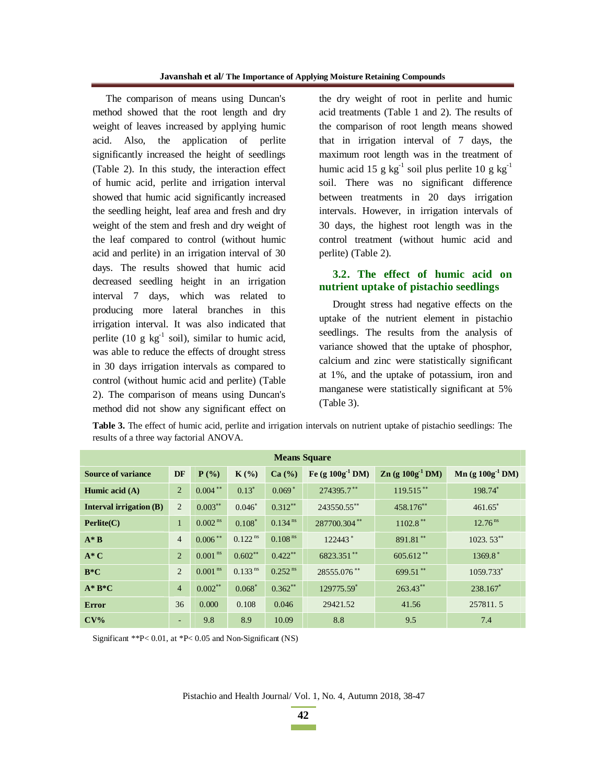The comparison of means using Duncan's method showed that the root length and dry weight of leaves increased by applying humic acid. Also, the application of perlite significantly increased the height of seedlings (Table 2). In this study, the interaction effect of humic acid, perlite and irrigation interval showed that humic acid significantly increased the seedling height, leaf area and fresh and dry weight of the stem and fresh and dry weight of the leaf compared to control (without humic acid and perlite) in an irrigation interval of 30 days. The results showed that humic acid decreased seedling height in an irrigation interval 7 days, which was related to producing more lateral branches in this irrigation interval. It was also indicated that perlite (10 g  $kg^{-1}$  soil), similar to humic acid, was able to reduce the effects of drought stress in 30 days irrigation intervals as compared to control (without humic acid and perlite) (Table 2). The comparison of means using Duncan's method did not show any significant effect on

the dry weight of root in perlite and humic acid treatments (Table 1 and 2). The results of the comparison of root length means showed that in irrigation interval of 7 days, the maximum root length was in the treatment of humic acid 15 g kg<sup>-1</sup> soil plus perlite 10 g kg<sup>-1</sup> soil. There was no significant difference between treatments in 20 days irrigation intervals. However, in irrigation intervals of 30 days, the highest root length was in the control treatment (without humic acid and perlite) (Table 2).

#### **3.2. The effect of humic acid on nutrient uptake of pistachio seedlings**

Drought stress had negative effects on the uptake of the nutrient element in pistachio seedlings. The results from the analysis of variance showed that the uptake of phosphor, calcium and zinc were statistically significant at 1%, and the uptake of potassium, iron and manganese were statistically significant at 5% (Table 3).

| Table 3. The effect of humic acid, perlite and irrigation intervals on nutrient uptake of pistachio seedlings: The |  |  |
|--------------------------------------------------------------------------------------------------------------------|--|--|
| results of a three way factorial ANOVA.                                                                            |  |  |

| <b>Means Square</b>            |                |                       |                       |                       |                     |                       |                     |  |  |
|--------------------------------|----------------|-----------------------|-----------------------|-----------------------|---------------------|-----------------------|---------------------|--|--|
| <b>Source of variance</b>      | <b>DF</b>      | $P(\%)$               | $K(\%)$               | Ca (%)                | Fe (g $100g-1 DM$ ) | $Zn$ (g $100g-1 DM$ ) | $Mn (g 100g-1 DM)$  |  |  |
| Humic acid $(A)$               | $\overline{2}$ | $0.004***$            | $0.13*$               | $0.069*$              | 274395.7**          | $119.515***$          | 198.74*             |  |  |
| <b>Interval irrigation (B)</b> | 2              | $0.003***$            | $0.046*$              | $0.312**$             | 243550.55**         | 458.176**             | $461.65*$           |  |  |
| Perlite(C)                     | $\mathbf{1}$   | $0.002$ <sup>ns</sup> | $0.108*$              | $0.134$ <sup>ns</sup> | 287700.304**        | $1102.8$ **           | 12.76 <sup>ns</sup> |  |  |
| $A^*B$                         | $\overline{4}$ | $0.006***$            | $0.122$ <sup>ns</sup> | $0.108$ <sup>ns</sup> | $122443*$           | 891.81**              | $1023.53$ **        |  |  |
| $A^*C$                         | 2              | $0.001$ <sup>ns</sup> | $0.602**$             | $0.422***$            | 6823.351**          | $605.612**$           | $1369.8*$           |  |  |
| $B*C$                          | $\overline{2}$ | $0.001$ <sup>ns</sup> | $0.133$ <sup>ns</sup> | $0.252$ <sup>ns</sup> | 28555.076**         | 699.51**              | 1059.733*           |  |  |
| $A^*B^*C$                      | $\overline{4}$ | $0.002***$            | $0.068*$              | $0.362***$            | 129775.59*          | 263.43**              | 238.167*            |  |  |
| <b>Error</b>                   | 36             | 0.000                 | 0.108                 | 0.046                 | 29421.52            | 41.56                 | 257811.5            |  |  |
| $CV\%$                         | ٠              | 9.8                   | 8.9                   | 10.09                 | 8.8                 | 9.5                   | 7.4                 |  |  |

Significant \*\*P< 0.01, at \*P< 0.05 and Non-Significant (NS)

Pistachio and Health Journal/ Vol. 1, No. 4, Autumn 2018, 38-47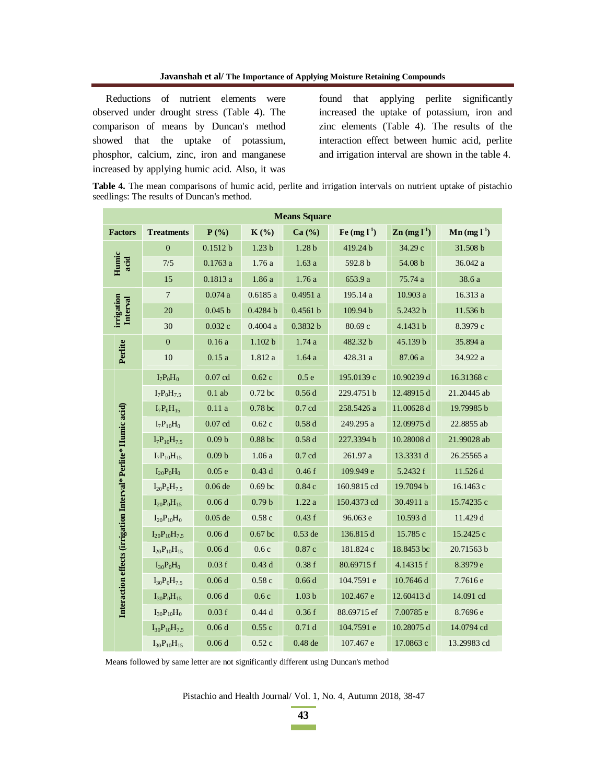Reductions of nutrient elements were observed under drought stress (Table 4). The comparison of means by Duncan's method showed that the uptake of potassium, phosphor, calcium, zinc, iron and manganese increased by applying humic acid. Also, it was

found that applying perlite significantly increased the uptake of potassium, iron and zinc elements (Table 4). The results of the interaction effect between humic acid, perlite and irrigation interval are shown in the table 4.

**Table 4.** The mean comparisons of humic acid, perlite and irrigation intervals on nutrient uptake of pistachio seedlings: The results of Duncan's method.

| <b>Means Square</b>                                            |                       |                   |                    |                   |              |                                       |                                |  |
|----------------------------------------------------------------|-----------------------|-------------------|--------------------|-------------------|--------------|---------------------------------------|--------------------------------|--|
| <b>Factors</b>                                                 | <b>Treatments</b>     | $P(\% )$          | $K(\%)$            | Ca (%)            | Fe $(mg l1)$ | $\mathbf{Zn}$ (mg $\mathbf{l}^{-1}$ ) | $\text{Mn}$ (mg $\text{L}^1$ ) |  |
| Humic<br>acid                                                  | $\boldsymbol{0}$      | 0.1512 b          | 1.23 <sub>b</sub>  | 1.28 <sub>b</sub> | 419.24 b     | 34.29 c                               | 31.508 b                       |  |
|                                                                | 7/5                   | 0.1763a           | 1.76a              | 1.63a             | 592.8 b      | 54.08 b                               | 36.042 a                       |  |
|                                                                | 15                    | 0.1813a           | 1.86 a             | 1.76a             | 653.9 a      | 75.74 a                               | 38.6 a                         |  |
| irrigation<br>Interval                                         | $\overline{7}$        | 0.074a            | 0.6185a            | 0.4951a           | 195.14 a     | 10.903 a                              | 16.313 a                       |  |
|                                                                | 20                    | 0.045 b           | 0.4284 b           | 0.4561 b          | 109.94b      | 5.2432 b                              | 11.536 b                       |  |
|                                                                | 30                    | 0.032c            | 0.4004a            | 0.3832 b          | 80.69 с      | 4.1431 b                              | 8.3979 с                       |  |
|                                                                | $\boldsymbol{0}$      | 0.16a             | 1.102 b            | 1.74a             | 482.32 b     | 45.139 b                              | 35.894 a                       |  |
| Perlite                                                        | 10                    | 0.15a             | 1.812a             | 1.64a             | 428.31 a     | 87.06 a                               | 34.922 a                       |  |
|                                                                | $I_7P_0H_0$           | $0.07$ cd         | 0.62c              | 0.5e              | 195.0139 с   | 10.90239 d                            | 16.31368 c                     |  |
|                                                                | $I_7P_0H_{7.5}$       | $0.1$ ab          | $0.72$ bc          | 0.56d             | 229.4751 b   | 12.48915 d                            | 21.20445 ab                    |  |
|                                                                | $I_7P_0H_{15}$        | 0.11a             | 0.78 <sub>bc</sub> | $0.7$ cd          | 258.5426 a   | 11.00628 d                            | 19.79985b                      |  |
| Interaction effects (irrigation Interval* Perlite* Humic acid) | $I_7P_{10}H_0$        | $0.07$ cd         | 0.62c              | 0.58d             | 249.295 a    | 12.09975 d                            | 22.8855 ab                     |  |
|                                                                | $I_7P_{10}H_{7.5}$    | 0.09 <sub>b</sub> | $0.88$ bc          | 0.58d             | 227.3394 b   | 10.28008 d                            | 21.99028 ab                    |  |
|                                                                | $I_7P_{10}H_{15}$     | 0.09 <sub>b</sub> | 1.06a              | 0.7cd             | 261.97 a     | 13.3331 d                             | 26.25565 a                     |  |
|                                                                | $I_{20}P_0H_0$        | 0.05e             | 0.43d              | 0.46f             | 109.949 e    | 5.2432 f                              | 11.526 d                       |  |
|                                                                | $I_{20}P_0H_{7.5}$    | $0.06$ de         | 0.69 <sub>bc</sub> | 0.84c             | 160.9815 cd  | 19.7094 b                             | 16.1463 с                      |  |
|                                                                | $I_{20}P_0H_{15}$     | 0.06d             | 0.79 <sub>b</sub>  | 1.22a             | 150.4373 cd  | 30.4911 a                             | 15.74235 c                     |  |
|                                                                | $I_{20}P_{10}H_0$     | $0.05$ de         | 0.58c              | 0.43f             | 96.063 e     | 10.593 d                              | 11.429 d                       |  |
|                                                                | $I_{20}P_{10}H_{7.5}$ | 0.06d             | $0.67$ bc          | $0.53$ de         | 136.815 d    | 15.785 c                              | 15.2425 c                      |  |
|                                                                | $I_{20}P_{10}H_{15}$  | 0.06d             | 0.6c               | 0.87c             | 181.824 c    | 18.8453 bc                            | 20.71563b                      |  |
|                                                                | $I_{30}P_0H_0$        | 0.03f             | 0.43d              | 0.38f             | 80.69715f    | 4.14315 f                             | 8.3979 e                       |  |
|                                                                | $I_{30}P_0H_{7.5}$    | 0.06d             | 0.58c              | 0.66d             | 104.7591 e   | 10.7646 d                             | 7.7616 e                       |  |
|                                                                | $I_{30}P_0H_{15}$     | 0.06d             | 0.6c               | 1.03 <sub>b</sub> | 102.467 e    | 12.60413 d                            | 14.091 cd                      |  |
|                                                                | $I_{30}P_{10}H_0$     | 0.03f             | 0.44d              | 0.36f             | 88.69715 ef  | 7.00785 e                             | 8.7696 e                       |  |
|                                                                | $I_{30}P_{10}H_{7.5}$ | 0.06d             | 0.55c              | 0.71d             | 104.7591 e   | 10.28075 d                            | 14.0794 cd                     |  |
|                                                                | $I_{30}P_{10}H_{15}$  | 0.06d             | 0.52c              | $0.48$ de         | 107.467 e    | 17.0863 c                             | 13.29983 cd                    |  |

Means followed by same letter are not significantly different using Duncan's method

Pistachio and Health Journal/ Vol. 1, No. 4, Autumn 2018, 38-47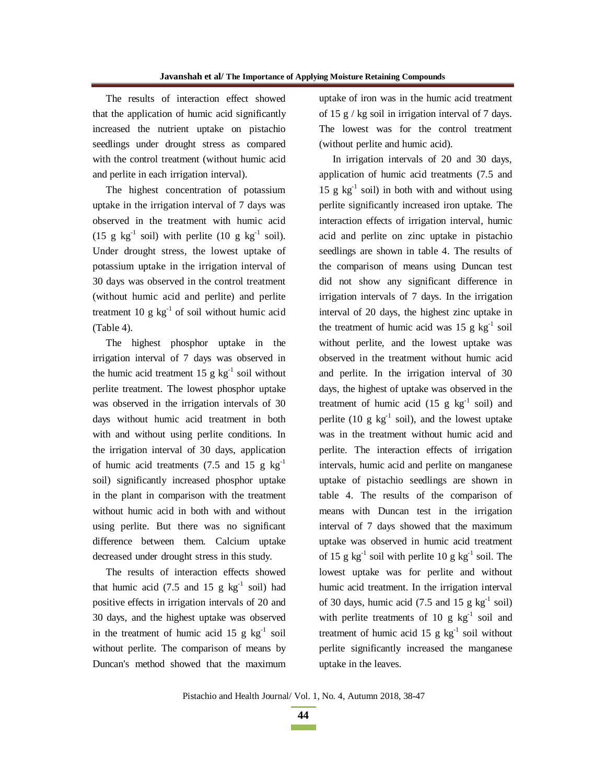The results of interaction effect showed that the application of humic acid significantly increased the nutrient uptake on pistachio seedlings under drought stress as compared with the control treatment (without humic acid and perlite in each irrigation interval).

The highest concentration of potassium uptake in the irrigation interval of 7 days was observed in the treatment with humic acid (15 g kg<sup>-1</sup> soil) with perlite (10 g kg<sup>-1</sup> soil). Under drought stress, the lowest uptake of potassium uptake in the irrigation interval of 30 days was observed in the control treatment (without humic acid and perlite) and perlite treatment 10 g  $kg^{-1}$  of soil without humic acid (Table 4).

The highest phosphor uptake in the irrigation interval of 7 days was observed in the humic acid treatment 15 g  $kg^{-1}$  soil without perlite treatment. The lowest phosphor uptake was observed in the irrigation intervals of 30 days without humic acid treatment in both with and without using perlite conditions. In the irrigation interval of 30 days, application of humic acid treatments (7.5 and 15 g  $kg^{-1}$ soil) significantly increased phosphor uptake in the plant in comparison with the treatment without humic acid in both with and without using perlite. But there was no significant difference between them. Calcium uptake decreased under drought stress in this study.

The results of interaction effects showed that humic acid (7.5 and 15 g  $kg^{-1}$  soil) had positive effects in irrigation intervals of 20 and 30 days, and the highest uptake was observed in the treatment of humic acid 15 g  $kg^{-1}$  soil without perlite. The comparison of means by Duncan's method showed that the maximum uptake of iron was in the humic acid treatment of 15 g / kg soil in irrigation interval of 7 days. The lowest was for the control treatment (without perlite and humic acid).

In irrigation intervals of 20 and 30 days, application of humic acid treatments (7.5 and 15 g  $kg^{-1}$  soil) in both with and without using perlite significantly increased iron uptake. The interaction effects of irrigation interval, humic acid and perlite on zinc uptake in pistachio seedlings are shown in table 4. The results of the comparison of means using Duncan test did not show any significant difference in irrigation intervals of 7 days. In the irrigation interval of 20 days, the highest zinc uptake in the treatment of humic acid was 15 g  $kg^{-1}$  soil without perlite, and the lowest uptake was observed in the treatment without humic acid and perlite. In the irrigation interval of 30 days, the highest of uptake was observed in the treatment of humic acid  $(15 \text{ g kg}^{-1} \text{ soil})$  and perlite (10 g  $kg^{-1}$  soil), and the lowest uptake was in the treatment without humic acid and perlite. The interaction effects of irrigation intervals, humic acid and perlite on manganese uptake of pistachio seedlings are shown in table 4. The results of the comparison of means with Duncan test in the irrigation interval of 7 days showed that the maximum uptake was observed in humic acid treatment of 15 g kg<sup>-1</sup> soil with perlite 10 g kg<sup>-1</sup> soil. The lowest uptake was for perlite and without humic acid treatment. In the irrigation interval of 30 days, humic acid  $(7.5 \text{ and } 15 \text{ g kg}^{-1} \text{ soil})$ with perlite treatments of 10 g  $kg^{-1}$  soil and treatment of humic acid 15 g  $kg^{-1}$  soil without perlite significantly increased the manganese uptake in the leaves.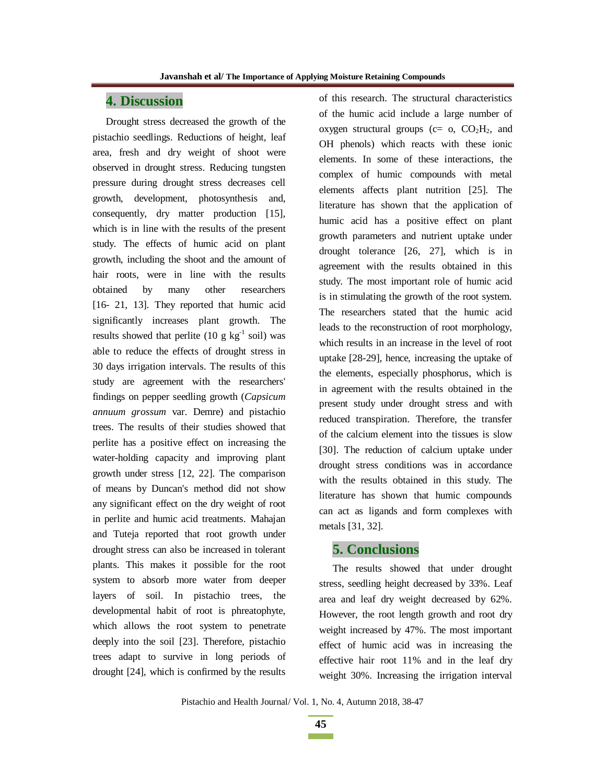# **4. Discussion**

Drought stress decreased the growth of the pistachio seedlings. Reductions of height, leaf area, fresh and dry weight of shoot were observed in drought stress. Reducing tungsten pressure during drought stress decreases cell growth, development, photosynthesis and, consequently, dry matter production [15], which is in line with the results of the present study. The effects of humic acid on plant growth, including the shoot and the amount of hair roots, were in line with the results obtained by many other researchers [16- 21, 13]. They reported that humic acid significantly increases plant growth. The results showed that perlite (10 g  $kg^{-1}$  soil) was able to reduce the effects of drought stress in 30 days irrigation intervals. The results of this study are agreement with the researchers' findings on pepper seedling growth (*Capsicum annuum grossum* var. Demre) and pistachio trees. The results of their studies showed that perlite has a positive effect on increasing the water-holding capacity and improving plant growth under stress [12, 22]. The comparison of means by Duncan's method did not show any significant effect on the dry weight of root in perlite and humic acid treatments. Mahajan and Tuteja reported that root growth under drought stress can also be increased in tolerant plants. This makes it possible for the root system to absorb more water from deeper layers of soil. In pistachio trees, the developmental habit of root is phreatophyte, which allows the root system to penetrate deeply into the soil [23]. Therefore, pistachio trees adapt to survive in long periods of drought [24], which is confirmed by the results

of this research. The structural characteristics of the humic acid include a large number of oxygen structural groups ( $c=$  o,  $CO<sub>2</sub>H<sub>2</sub>$ , and OH phenols) which reacts with these ionic elements. In some of these interactions, the complex of humic compounds with metal elements affects plant nutrition [25]. The literature has shown that the application of humic acid has a positive effect on plant growth parameters and nutrient uptake under drought tolerance [26, 27], which is in agreement with the results obtained in this study. The most important role of humic acid is in stimulating the growth of the root system. The researchers stated that the humic acid leads to the reconstruction of root morphology, which results in an increase in the level of root uptake [28-29], hence, increasing the uptake of the elements, especially phosphorus, which is in agreement with the results obtained in the present study under drought stress and with reduced transpiration. Therefore, the transfer of the calcium element into the tissues is slow [30]. The reduction of calcium uptake under drought stress conditions was in accordance with the results obtained in this study. The literature has shown that humic compounds can act as ligands and form complexes with metals [31, 32].

# **5. Conclusions**

The results showed that under drought stress, seedling height decreased by 33%. Leaf area and leaf dry weight decreased by 62%. However, the root length growth and root dry weight increased by 47%. The most important effect of humic acid was in increasing the effective hair root 11% and in the leaf dry weight 30%. Increasing the irrigation interval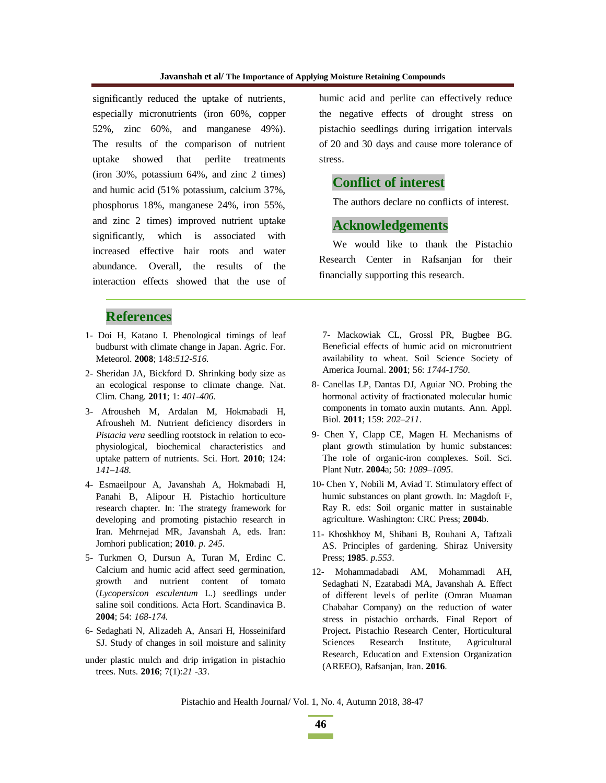significantly reduced the uptake of nutrients, especially micronutrients (iron 60%, copper 52%, zinc 60%, and manganese 49%). The results of the comparison of nutrient uptake showed that perlite treatments (iron 30%, potassium 64%, and zinc 2 times) and humic acid (51% potassium, calcium 37%, phosphorus 18%, manganese 24%, iron 55%, and zinc 2 times) improved nutrient uptake significantly, which is associated with increased effective hair roots and water abundance. Overall, the results of the interaction effects showed that the use of

# **References**

- 1- Doi H, Katano I. Phenological timings of leaf budburst with climate change in Japan. Agric. For. Meteorol. **2008**; 148:*512-516*.
- 2- Sheridan JA, Bickford D. Shrinking body size as an ecological response to climate change. Nat. Clim. Chang. **2011**; 1: *401-406*.
- 3- Afrousheh M, Ardalan M, Hokmabadi H, Afrousheh M. Nutrient deficiency disorders in *Pistacia vera* seedling rootstock in relation to ecophysiological, biochemical characteristics and uptake pattern of nutrients. Sci. Hort. **2010**; 124: *141–148*.
- 4- Esmaeilpour A, Javanshah A, Hokmabadi H, Panahi B, Alipour H. Pistachio horticulture research chapter. In: The strategy framework for developing and promoting pistachio research in Iran. Mehrnejad MR, Javanshah A, eds. Iran: Jomhori publication; **2010**. *p. 245*.
- 5- Turkmen O, Dursun A, Turan M, Erdinc C. Calcium and humic acid affect seed germination, growth and nutrient content of tomato (*Lycopersicon esculentum* L.) seedlings under saline soil conditions. Acta Hort. Scandinavica B. **2004**; 54: *168-174*.
- 6- Sedaghati N, Alizadeh A, Ansari H, Hosseinifard SJ. Study of changes in soil moisture and salinity
- under plastic mulch and drip irrigation in pistachio trees. Nuts. **2016**; 7(1):*21 -33*.

humic acid and perlite can effectively reduce the negative effects of drought stress on pistachio seedlings during irrigation intervals of 20 and 30 days and cause more tolerance of stress.

# **Conflict of interest**

The authors declare no conflicts of interest.

### **Acknowledgements**

We would like to thank the Pistachio Research Center in Rafsanjan for their financially supporting this research.

7- Mackowiak CL, Grossl PR, Bugbee BG. Beneficial effects of humic acid on micronutrient availability to wheat. Soil Science Society of America Journal. **2001**; 56: *1744-1750*.

- 8- Canellas LP, Dantas DJ, Aguiar NO. Probing the hormonal activity of fractionated molecular humic components in tomato auxin mutants. Ann. Appl. Biol. **2011**; 159: *202–211*.
- 9- Chen Y, Clapp CE, Magen H. Mechanisms of plant growth stimulation by humic substances: The role of organic-iron complexes. Soil. Sci. Plant Nutr. **2004**a; 50: *1089–1095*.
- 10- Chen Y, Nobili M, Aviad T. Stimulatory effect of humic substances on plant growth. In: Magdoft F, Ray R. eds: Soil organic matter in sustainable agriculture. Washington: CRC Press; **2004**b.
- 11- Khoshkhoy M, Shibani B, Rouhani A, Taftzali AS. Principles of gardening. Shiraz University Press; **1985**. *p.553*.
- 12- Mohammadabadi AM, Mohammadi AH, Sedaghati N, Ezatabadi MA, Javanshah A. Effect of different levels of perlite (Omran Muaman Chabahar Company) on the reduction of water stress in pistachio orchards. Final Report of Project**.** Pistachio Research Center, Horticultural Sciences Research Institute, Agricultural Research, Education and Extension Organization (AREEO), Rafsanjan, Iran. **2016**.

Pistachio and Health Journal/ Vol. 1, No. 4, Autumn 2018, 38-47